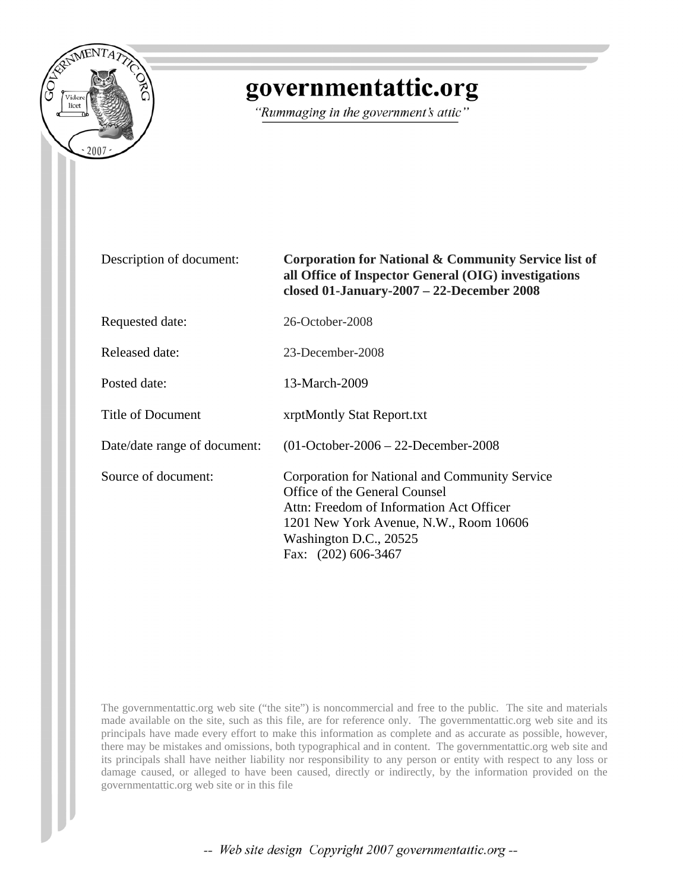

# governmentattic.org

"Rummaging in the government's attic"

| Description of document:     | Corporation for National & Community Service list of<br>all Office of Inspector General (OIG) investigations<br>closed 01-January-2007 - 22-December 2008                                                              |
|------------------------------|------------------------------------------------------------------------------------------------------------------------------------------------------------------------------------------------------------------------|
| Requested date:              | 26-October-2008                                                                                                                                                                                                        |
| Released date:               | 23-December-2008                                                                                                                                                                                                       |
| Posted date:                 | 13-March-2009                                                                                                                                                                                                          |
| Title of Document            | xrptMontly Stat Report.txt                                                                                                                                                                                             |
| Date/date range of document: | $(01-October-2006 - 22-December-2008$                                                                                                                                                                                  |
| Source of document:          | Corporation for National and Community Service<br>Office of the General Counsel<br>Attn: Freedom of Information Act Officer<br>1201 New York Avenue, N.W., Room 10606<br>Washington D.C., 20525<br>Fax: (202) 606-3467 |

The governmentattic.org web site ("the site") is noncommercial and free to the public. The site and materials made available on the site, such as this file, are for reference only. The governmentattic.org web site and its principals have made every effort to make this information as complete and as accurate as possible, however, there may be mistakes and omissions, both typographical and in content. The governmentattic.org web site and its principals shall have neither liability nor responsibility to any person or entity with respect to any loss or damage caused, or alleged to have been caused, directly or indirectly, by the information provided on the governmentattic.org web site or in this file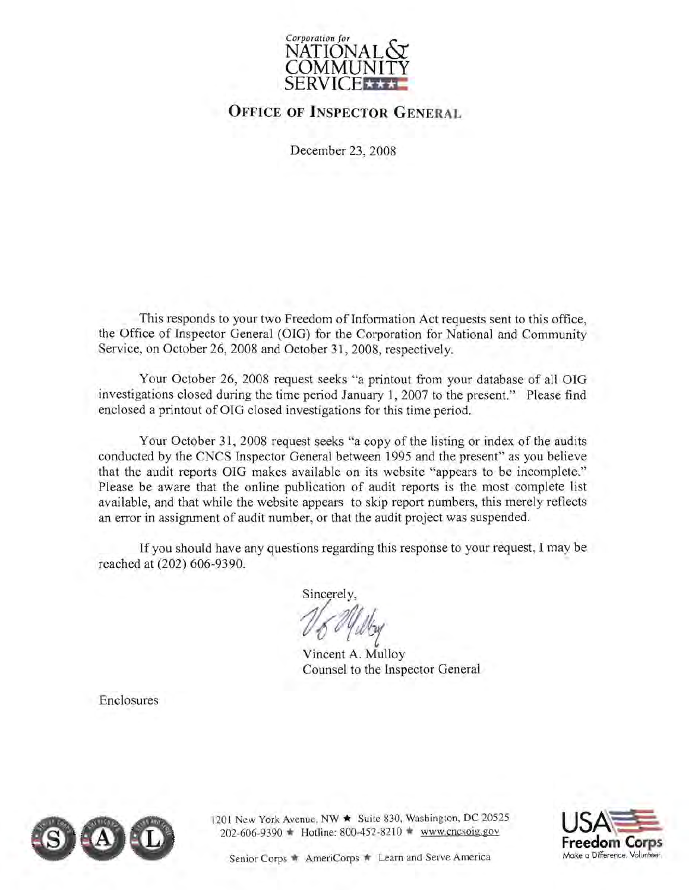

# **OFFICE OF INSPECTOR GENERAL**

December 23, 2008

This responds to your two Freedom of Information Act requests sent to this office, the Office of Inspector General (OIG) for the Corporation for National and Community Service, on October 26, 2008 and October 31, 2008, respectively.

Your October 26, 2008 request seeks "a printout from your database of all OIG investigations closed during the time period January 1, 2007 to the present." Please find enclosed a printout of OIG closed investigations for this time period.

Your October 31, 2008 request seeks "a copy of the listing or index of the audits conducted by the CNCS Inspector General between 1995 and the present" as you believe that the audit reports OIG makes available on its website "appears to be incomplete." Please be aware that the online publication of audit reports is the most complete list available, and that while the website appears to skip report numbers, this merely reflects an error in assignment of audit number, or that the audit project was suspended.

If you should have any questions regarding this response to your request, I may be reached at (202) 606-9390.

Sincerely,

No oyugy

Vincent A. Mulloy Counsel to the Inspector General

Enclosures



1201 New York Avenue. NW  $\star$  Suite 830, Washington, DC 20525  $202-606-9390$   $\bullet$  Hotline: 800-452-8210  $\bullet$  www.cncsoig.gov

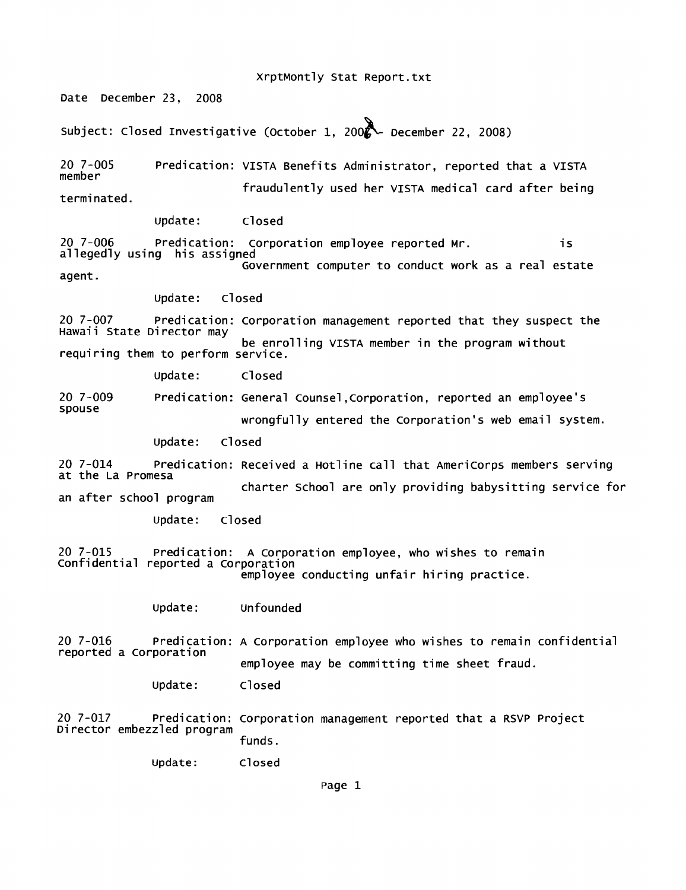xrptMontly Stat Report.txt

Date December 23, 2008

Subject: Closed Investigative (October 1, 2002 - December 22, 2008)

20 7-005 member terminated. Predication: VISTA Benefits Administrator, reported that a VISTA fraudulently used her VISTA medical card after being

update: closed

20 7-006 Predication: Corporation employee reported Mr. is<br>allegedly using his assigned Government computer to conduct work as a real estate

agent.

update: closed

20 7-007 Predication: Corporation management reported that they suspect the<br>Hawaii State Director may be enrolling VISTA member in the program without requiring them to perform service.

update: closed

20 7-009 spouse Predication: General counsel ,corporation, reported an employee's wrongfully entered the corporation's web email system.

update: closed

20 7-014 Predication: Received a Hotline call that Americorps members serving at the La Promesa charter school are only providing babysitting service for an after school program

update: closed

20 7-015 Predication: A Corporation employee, who wishes to remain<br>Confidential reported a Corporation employee conducting unfair hiring practice.

update: unfounded

20 7-016 Predication: A Corporation employee who wishes to remain confidential<br>reported a Corporation employee may be committing time sheet fraud.

update: closed

20 7-017 Predication: Corporation management reported that a RSVP Project Director embezzled program<br>Funds.

update: Closed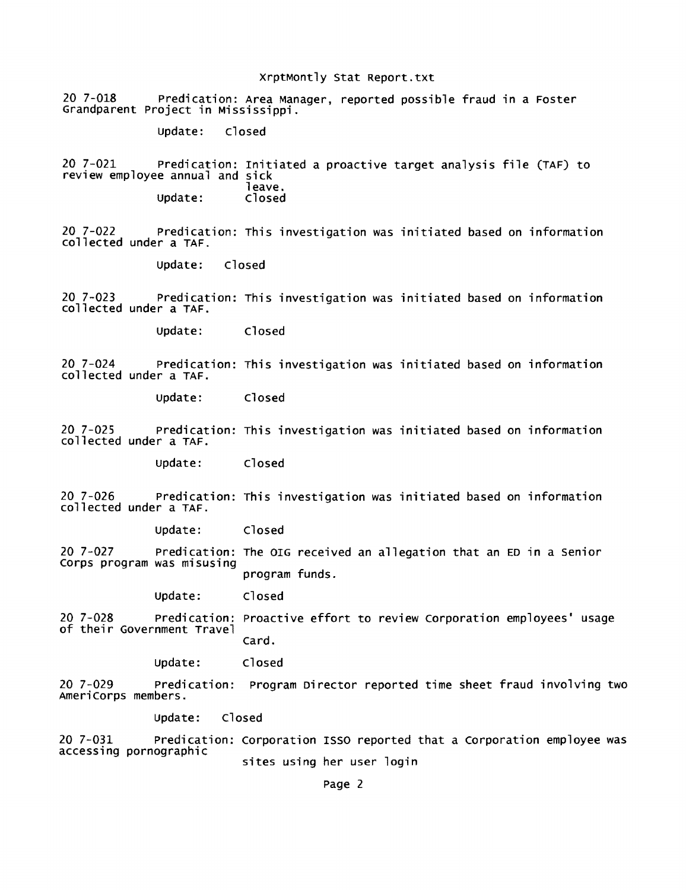#### xrptMontly Stat Report.txt

20 7-018 Predication: Area Manager, reported possible fraud in a Foster Grandparent project in Mississippi.

update: closed

20 7-021 Predication: Initiated a proactive target analysis file (TAF) to review employee annual and leave.<br>Closed Update:

20 7-022 predication: This investigation was initiated based on information collected under a TAF.

update: Closed

20 7-023 Predication: This investigation was initiated based on information collected under a TAF.

update: Closed

20 7-024 Predication: This investigation was initiated based on information collected under a TAF.

update: Closed

20 7-025 predication: This investigation was initiated based on information collected under a TAF.

update: closed

20 7-026 Predication: This investigation was initiated based on information collected under a TAF.

update: Closed

20 7-027 predication: The OIG received an allegation that an ED in a senior corps program was misusing program funds.

update: closed

20 7-028 predication: Proactive effort to review Corporation employees' usage of their Government Travel card.

update: closed

20 7-029 Predication: program Director reported time sheet fraud involving two Americorps members.

update: Closed

20 7-031 Predication: Corporation ISSO reported that a Corporation employee was accessing pornographic sites using her user login

Page 2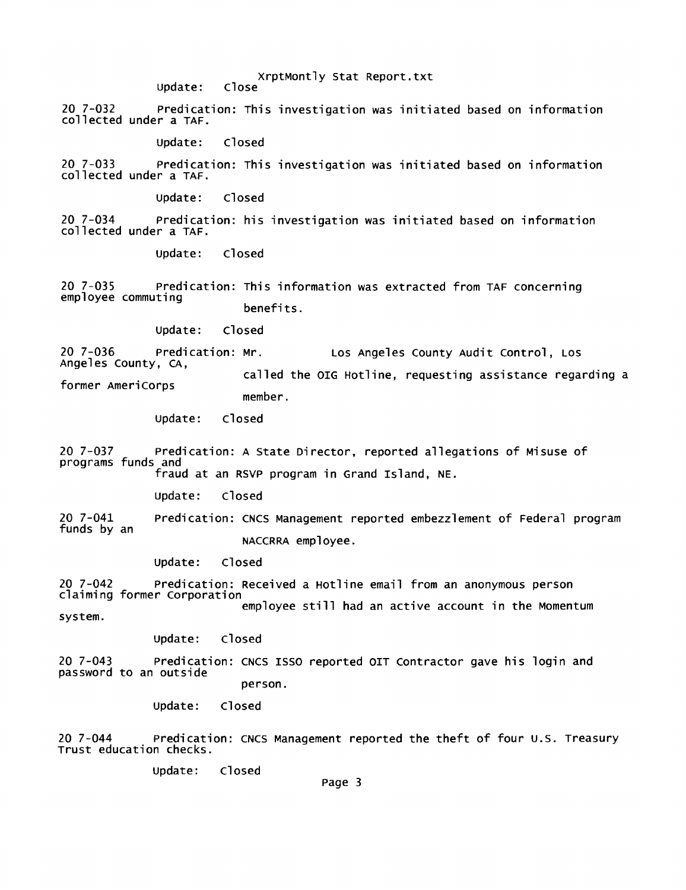update: xrptMontly Stat Report.txt close

20 7-032 Predication: This investigation was initiated based on information collected under a TAF.

update: Closed

20 7-033 Predication: This investigation was initiated based on information collected under a TAF.

update: Closed

20 7-034 Predication: his investigation was initiated based on information collected under a TAF.

update: Closed

20 7-035 Predication: This information was extracted from TAF concerning employee commuting benefits.

update: Closed

20 7-036 Predication: Mr. Los Angeles county Audit control, LOS Angeles county, CA,

former Americorps called the OIG Hotline, requesting assistance regarding a member.

update: Closed

20 7-037 Predication: A State Director, reported allegations of Misuse of programs funds and fraud at an RSVP program in Grand Island, NE.

update: Closed

20 7-041 funds by an Predication: CNCS Management reported embezzlement of Federal program NACCRRA employee.

update: closed

20 7-042 Predication: Received a Hotline email from an anonymous person claiming former Corporation employee still had an active account in the Momentum system.

update: Closed

20 7-043 Predication: CNCS ISSO reported OIT Contractor gave his login and password to an outside person.

> update: closed

20 7-044 Predication: CNCS Management reported the theft of four u.S. Treasury Trust education checks.

update: closed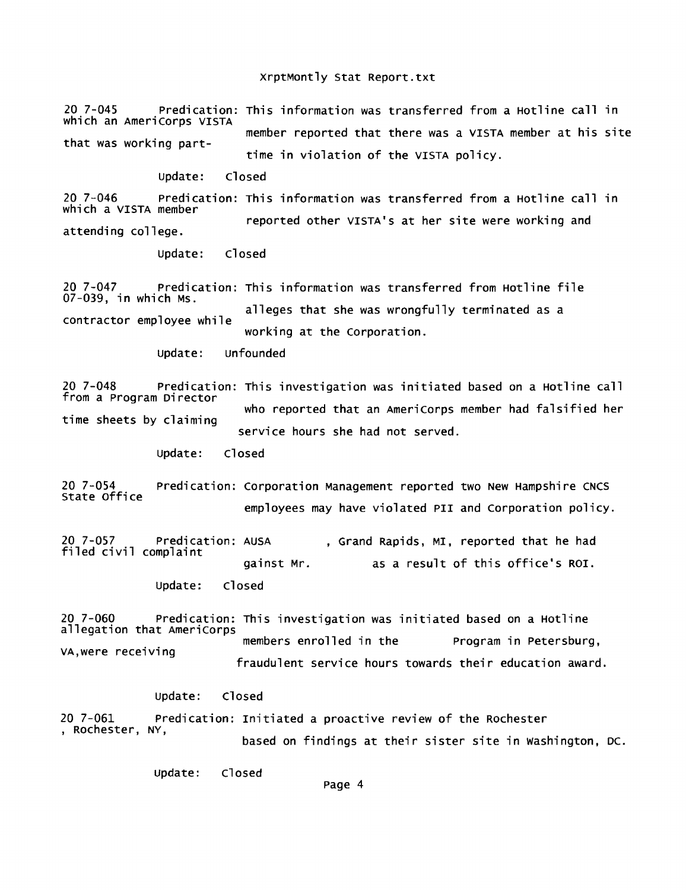#### xrptMontly Stat Report.txt

20 7-045 Predication: This information was transferred from a Hotline call in which an AmeriCorps VISTA that was working partmember reported that there was a VISTA member at his site time in violation of the VISTA policy.

update: Closed

20 7-046 predication: This information was transferred from a Hotline call in which a VISTA member attending college. reported other VISTA'S at her site were working and

> update: Closed

20 7-047 Predication: This information was transferred from Hotline file 07-039, in which MS. alleges that she was wrongfully terminated as a<br>contractor employee while working at the Corporation.

update: unfounded

20 7-048 Predication: This investigation was initiated based on a Hotline call from a program Director time sheets by claiming who reported that an Americorps member had falsified her service hours she had not served.

> update: Closed

20 7-054 predication: Corporation Management reported two New Hampshire CNCS State office employees may have violated PII and Corporation policy.

20 7-057 Predication: AUSA , Grand Rapids, MI, reported that he had<br>filed civil complaint gainst Mr. as a result of this office's ROI. update: closed

20 7-060 Predication: This investigation was initiated based on a Hotline members enrolled in the Program in Petersburg,<br>Fraudulent service hours towards their education award.

update: Closed

20 7-061 Predication: Initiated a proactive review of the Rochester , Rochester, NY, based on findings at their sister site in washington, DC.

update: Closed

page 4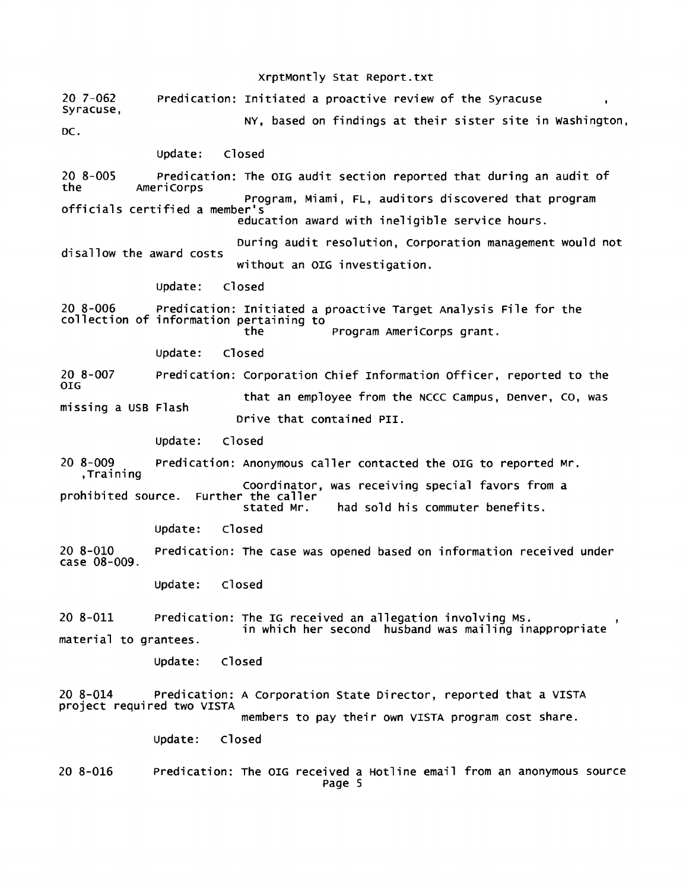20 7-062 syracuse, DC. xrptMontly Stat Report.txt Predication: Initiated a proactive review of the Syracuse NY, based on findings at their sister site in washington, update: Closed 20 8-005 the Predication: The OIG audit section reported that during an audit of Americorps program, Miami, FL, auditors discovered that program officials certified a member's education award with ineligible service hours. disallow the award costs During audit resolution, corporation management would not without an OIG investigation. update: Closed 20 8-006 predication: Initiated a proactive Target Analysis File for the collection of information pertaining to 20 8-007 OIG Program AmeriCorps grant. update: Closed predication: corporation chief Information officer, reported to the missing a USB Flash that an employee from the NCCC campus, Denver, co, was Drive that contained PII. update: closed 20 8-009 Predication: Anonymous caller contacted the OIG to reported Mr. ,Training prohibited source. coordinator, was receiving special favors from a Further the caller<br>stated Mr. had sold his commuter benefits. update: closed 20 8-010 Predication: the case was opened based on information received under case 08-009. update: Closed 20 8-011 predication: The IG received an allegation involving MS. material to grantees. in which her second husband was mailing inappropriate update: closed 20 8-014 predication: A corporation State Director, reported that a VISTA project required two VISTA 20 8-016 members to pay their own VISTA program cost share. update: closed Predication: The OIG received a Hotline email from an anonymous source page 5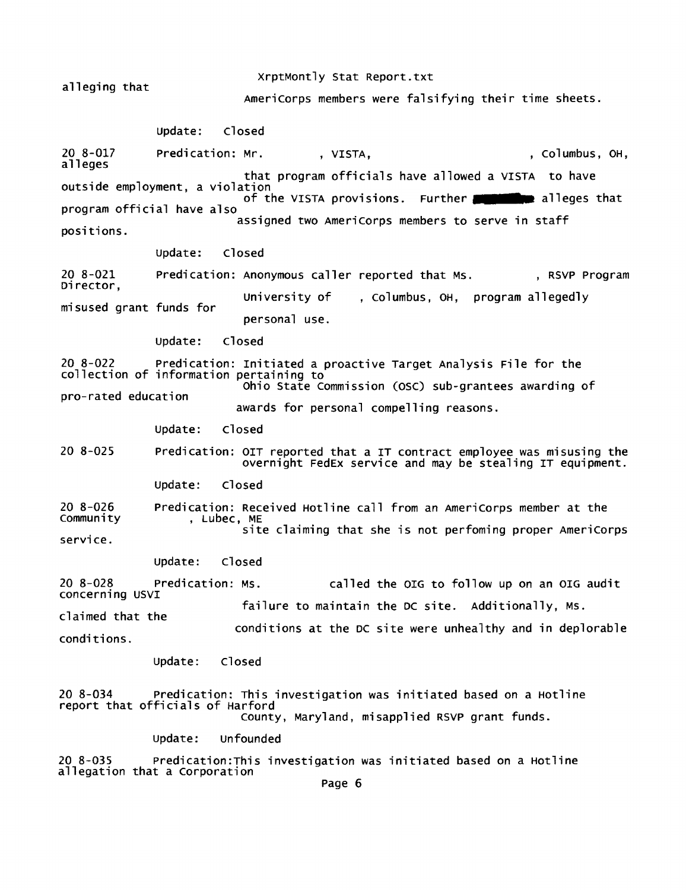alleging that 20 8-017 alleges xrptMontly Stat Report.txt Americorps members were falsifying their time sheets. update: closed Predication: Mr. (2008), VISTA, The Columbus, OH, Columbus, OH, that program officials have allowed a VISTA to have outside employment, a violation of the VISTA provisions. Further **........** program official have also alleges that positions. 20 8-021 Director, program official have also<br>assigned two AmeriCorps members to serve in staff update: closed Predication: Anonymous caller reported that Ms. , RSVP Program misused grant funds for university of personal use. closed , columbus, OH, program allegedly update: 20 8-022 Predication: Initiated a proactive Target Analysis File for the collection of information pertaining to pro-rated education ohio State commission (osc) sub-grantees awarding of 20 8-025 20 8-026 community service. update: awards for personal compelling reasons. closed Predication: OIT reported that a IT contract employee was misusing the overnight FedEx service and may be stealing IT equipment. update: closed Predication: Received Hotline call from an Americorps member at the , Lubec, ME site claiming that she is not perfoming proper Americorps update: closed 20 8-028 predication: MS. called the OIG to follow up on an OIG audit concerning USVI claimed that the conditions. update: failure to maintain the DC site. Additionally, MS. conditions at the DC site were unhealthy and in deplorable Closed 20 8-034 Predication: This investigation was initiated based on a Hotline report that officials of Harford county, Maryland, misapplied RSVP grant funds. update: unfounded 20 8-035 predication:This investigation was initiated based on a Hotline allegation that a Corporation<br>Page 6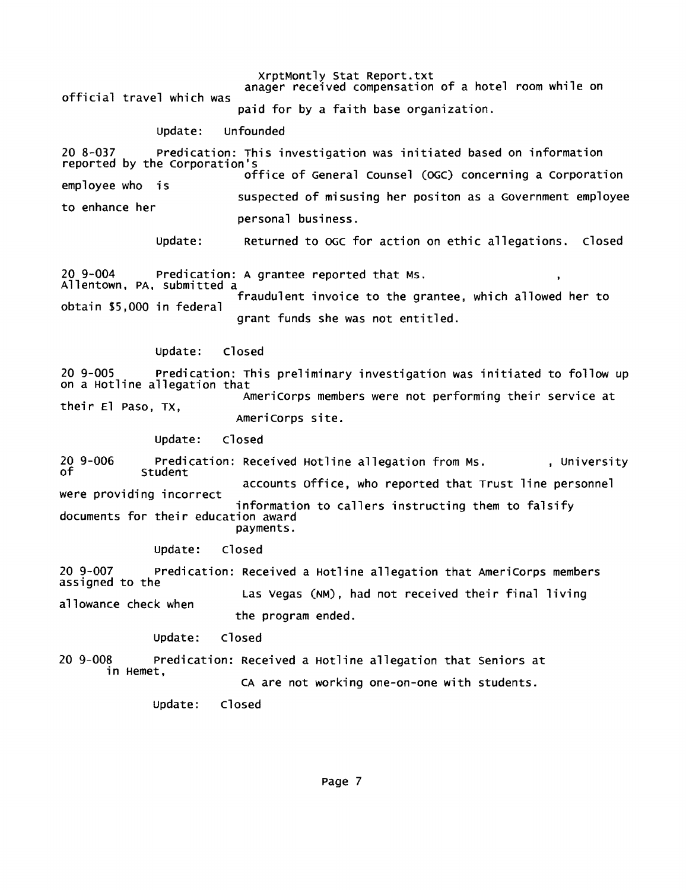xrptMontly Stat Report.txt anager received compensation of a hotel room while on

official travel which was

paid for by a faith base organization.

## update: unfounded

20 8-037 predication: This investigation was initiated based on information reported by the corporation's employee who is to enhance her office of General counsel *(DGc)* concerning a corporation suspected of misusing her positon as a Government employee personal business.

> update: Returned to DGC for action on ethic allegations. closed

20 9-004 Predication: A grantee reported that Ms. Allentown, PA, submitted a fraudulent invoice to the grantee, which allowed her to obtain \$5,000 in federal grant funds she was not entitled.

## update: closed

20 9-005 Predication: This preliminary investigation was initiated to follow up on a Hotline allegation that their El paso, TX, Americorps members were not performing their service at Americorps site.

> update: closed

20 9-006 of Predication: Received Hotline allegation from Ms. , University<br>Student accounts office, who reported that Trust line personnel were providing incorrect information to callers instructing them to falsify<br>documents for their education award payments.

update: closed

20 9-007 Predication: Received a Hotline allegation that Americorps members assigned to the allowance check when Las Vegas (NM), had not received their final living the program ended.

> update: closed

20 9-008 predication: Received a Hotline allegation that Seniors at in Hemet, CA are not working one-on-one with students.

> update: closed